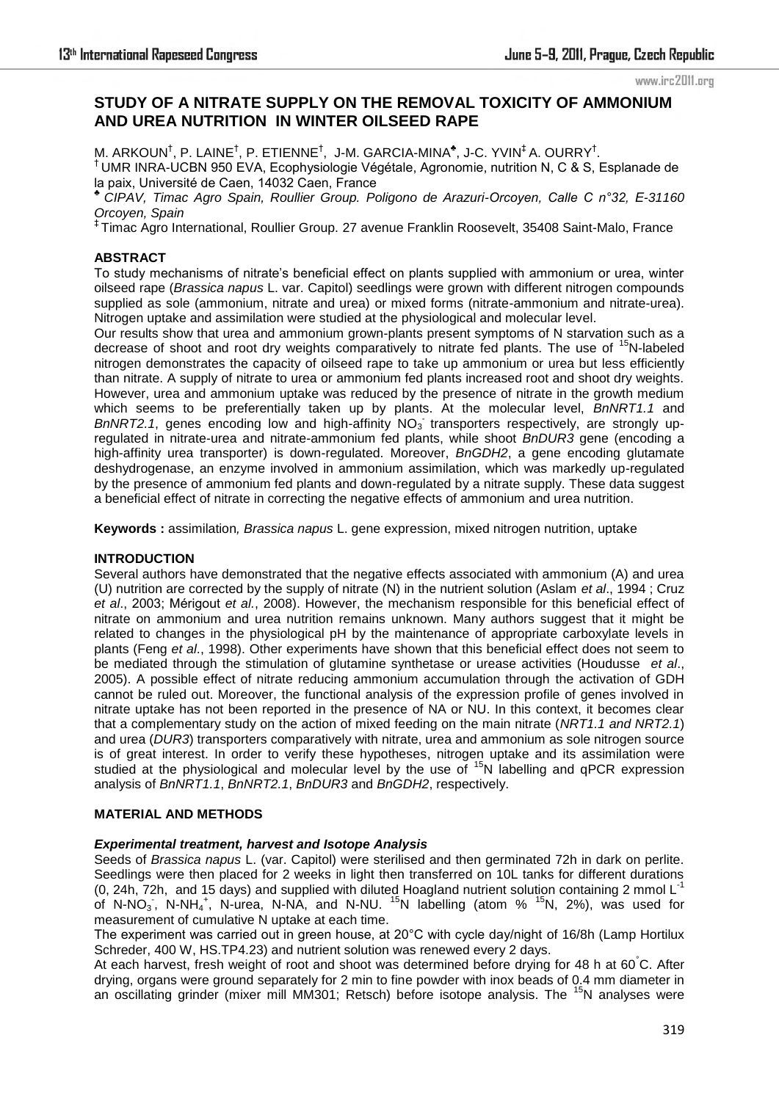www.irc2011.org

# **STUDY OF A NITRATE SUPPLY ON THE REMOVAL TOXICITY OF AMMONIUM AND UREA NUTRITION IN WINTER OILSEED RAPE**

M. ARKOUN<sup>†</sup>, P. LAINE<sup>†</sup>, P. ETIENNE<sup>†</sup>, J-M. GARCIA-MINA<sup>\*</sup>, J-C. YVIN<sup>‡</sup> A. OURRY<sup>†</sup>. † UMR INRA-UCBN 950 EVA, Ecophysiologie Végétale, Agronomie, nutrition N, C & S, Esplanade de la paix, Université de Caen, 14032 Caen, France

*♣ CIPAV, Timac Agro Spain, Roullier Group. Poligono de Arazuri-Orcoyen, Calle C n°32, E-31160 Orcoyen, Spain*

‡ Timac Agro International, Roullier Group. 27 avenue Franklin Roosevelt, 35408 Saint-Malo, France

# **ABSTRACT**

To study mechanisms of nitrate's beneficial effect on plants supplied with ammonium or urea, winter oilseed rape (*Brassica napus* L. var. Capitol) seedlings were grown with different nitrogen compounds supplied as sole (ammonium, nitrate and urea) or mixed forms (nitrate-ammonium and nitrate-urea). Nitrogen uptake and assimilation were studied at the physiological and molecular level.

Our results show that urea and ammonium grown-plants present symptoms of N starvation such as a decrease of shoot and root dry weights comparatively to nitrate fed plants. The use of <sup>15</sup>N-labeled nitrogen demonstrates the capacity of oilseed rape to take up ammonium or urea but less efficiently than nitrate. A supply of nitrate to urea or ammonium fed plants increased root and shoot dry weights. However, urea and ammonium uptake was reduced by the presence of nitrate in the growth medium which seems to be preferentially taken up by plants. At the molecular level, *BnNRT1.1* and BnNRT2.1, genes encoding low and high-affinity NO<sub>3</sub> transporters respectively, are strongly upregulated in nitrate-urea and nitrate-ammonium fed plants, while shoot *BnDUR3* gene (encoding a high-affinity urea transporter) is down-regulated. Moreover, *BnGDH2*, a gene encoding glutamate deshydrogenase, an enzyme involved in ammonium assimilation, which was markedly up-regulated by the presence of ammonium fed plants and down-regulated by a nitrate supply. These data suggest a beneficial effect of nitrate in correcting the negative effects of ammonium and urea nutrition.

**Keywords :** assimilation*, Brassica napus* L. gene expression, mixed nitrogen nutrition, uptake

## **INTRODUCTION**

Several authors have demonstrated that the negative effects associated with ammonium (A) and urea (U) nutrition are corrected by the supply of nitrate (N) in the nutrient solution (Aslam *et al*., 1994 ; Cruz *et al*., 2003; Mérigout *et al.*, 2008). However, the mechanism responsible for this beneficial effect of nitrate on ammonium and urea nutrition remains unknown. Many authors suggest that it might be related to changes in the physiological pH by the maintenance of appropriate carboxylate levels in plants (Feng *et al*., 1998). Other experiments have shown that this beneficial effect does not seem to be mediated through the stimulation of glutamine synthetase or urease activities (Houdusse *et al*., 2005). A possible effect of nitrate reducing ammonium accumulation through the activation of GDH cannot be ruled out. Moreover, the functional analysis of the expression profile of genes involved in nitrate uptake has not been reported in the presence of NA or NU. In this context, it becomes clear that a complementary study on the action of mixed feeding on the main nitrate (*NRT1.1 and NRT2.1*) and urea (*DUR3*) transporters comparatively with nitrate, urea and ammonium as sole nitrogen source is of great interest. In order to verify these hypotheses, nitrogen uptake and its assimilation were studied at the physiological and molecular level by the use of  $15N$  labelling and qPCR expression analysis of *BnNRT1.1*, *BnNRT2.1*, *BnDUR3* and *BnGDH2*, respectively.

## **MATERIAL AND METHODS**

## *Experimental treatment, harvest and Isotope Analysis*

Seeds of *Brassica napus* L. (var. Capitol) were sterilised and then germinated 72h in dark on perlite. Seedlings were then placed for 2 weeks in light then transferred on 10L tanks for different durations (0, 24h, 72h, and 15 days) and supplied with diluted Hoagland nutrient solution containing 2 mmol L-1 of N-NO<sub>3</sub>, N-NH<sub>4</sub><sup>+</sup>, N-urea, N-NA, and N-NU. <sup>15</sup>N labelling (atom % <sup>15</sup>N, 2%), was used for measurement of cumulative N uptake at each time.

The experiment was carried out in green house, at 20°C with cycle day/night of 16/8h (Lamp Hortilux Schreder, 400 W, HS.TP4.23) and nutrient solution was renewed every 2 days.

At each harvest, fresh weight of root and shoot was determined before drying for 48 h at 60°C. After drying, organs were ground separately for 2 min to fine powder with inox beads of 0.4 mm diameter in an oscillating grinder (mixer mill MM301; Retsch) before isotope analysis. The  $15N$  analyses were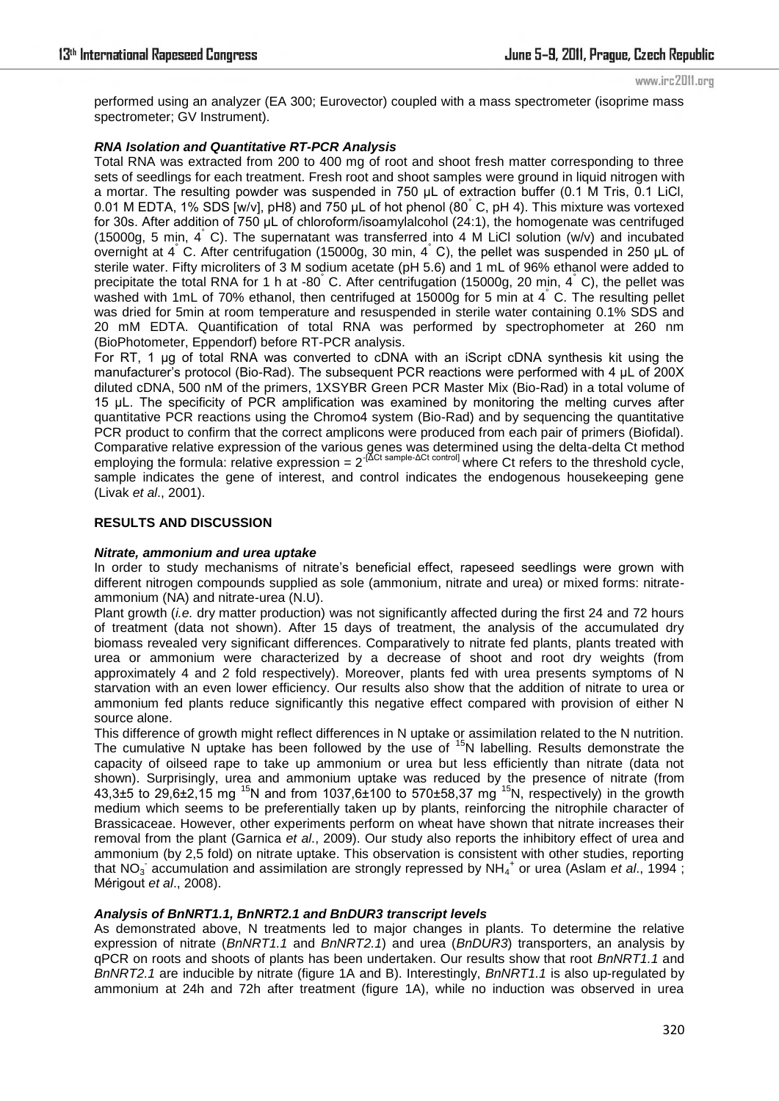www.irc2011.org

performed using an analyzer (EA 300; Eurovector) coupled with a mass spectrometer (isoprime mass spectrometer; GV Instrument).

## *RNA Isolation and Quantitative RT-PCR Analysis*

Total RNA was extracted from 200 to 400 mg of root and shoot fresh matter corresponding to three sets of seedlings for each treatment. Fresh root and shoot samples were ground in liquid nitrogen with a mortar. The resulting powder was suspended in 750 µL of extraction buffer (0.1 M Tris, 0.1 LiCl, 0.01 M EDTA, 1% SDS [w/v], pH8) and 750 µL of hot phenol (80° C, pH 4). This mixture was vortexed for 30s. After addition of 750 µL of chloroform/isoamylalcohol (24:1), the homogenate was centrifuged (15000g, 5 min, 4° C). The supernatant was transferred into 4 M LiCl solution (w/v) and incubated overnight at 4°C. After centrifugation (15000g, 30 min, 4°C), the pellet was suspended in 250 µL of sterile water. Fifty microliters of 3 M sodium acetate (pH 5.6) and 1 mL of 96% ethanol were added to precipitate the total RNA for 1 h at -80 °C. After centrifugation (15000g, 20 min, 4 °C), the pellet was washed with 1mL of 70% ethanol, then centrifuged at 15000g for 5 min at 4° C. The resulting pellet was dried for 5min at room temperature and resuspended in sterile water containing 0.1% SDS and 20 mM EDTA. Quantification of total RNA was performed by spectrophometer at 260 nm (BioPhotometer, Eppendorf) before RT-PCR analysis.

For RT, 1 µg of total RNA was converted to cDNA with an iScript cDNA synthesis kit using the manufacturer's protocol (Bio-Rad). The subsequent PCR reactions were performed with 4 µL of 200X diluted cDNA, 500 nM of the primers, 1XSYBR Green PCR Master Mix (Bio-Rad) in a total volume of 15 µL. The specificity of PCR amplification was examined by monitoring the melting curves after quantitative PCR reactions using the Chromo4 system (Bio-Rad) and by sequencing the quantitative PCR product to confirm that the correct amplicons were produced from each pair of primers (Biofidal). Comparative relative expression of the various genes was determined using the delta-delta Ct method employing the formula: relative expression =  $2^{[ACt] \text{ sample-}\Delta Ct \text{ control}]}$  where Ct refers to the threshold cycle, sample indicates the gene of interest, and control indicates the endogenous housekeeping gene (Livak *et al*., 2001).

## **RESULTS AND DISCUSSION**

## *Nitrate, ammonium and urea uptake*

In order to study mechanisms of nitrate's beneficial effect, rapeseed seedlings were grown with different nitrogen compounds supplied as sole (ammonium, nitrate and urea) or mixed forms: nitrateammonium (NA) and nitrate-urea (N.U).

Plant growth (*i.e.* dry matter production) was not significantly affected during the first 24 and 72 hours of treatment (data not shown). After 15 days of treatment, the analysis of the accumulated dry biomass revealed very significant differences. Comparatively to nitrate fed plants, plants treated with urea or ammonium were characterized by a decrease of shoot and root dry weights (from approximately 4 and 2 fold respectively). Moreover, plants fed with urea presents symptoms of N starvation with an even lower efficiency. Our results also show that the addition of nitrate to urea or ammonium fed plants reduce significantly this negative effect compared with provision of either N source alone.

This difference of growth might reflect differences in N uptake or assimilation related to the N nutrition. The cumulative N uptake has been followed by the use of <sup>15</sup>N labelling. Results demonstrate the capacity of oilseed rape to take up ammonium or urea but less efficiently than nitrate (data not shown). Surprisingly, urea and ammonium uptake was reduced by the presence of nitrate (from 43,3±5 to 29,6±2,15 mg <sup>15</sup>N and from 1037,6±100 to 570±58,37 mg <sup>15</sup>N, respectively) in the growth medium which seems to be preferentially taken up by plants, reinforcing the nitrophile character of Brassicaceae. However, other experiments perform on wheat have shown that nitrate increases their removal from the plant (Garnica *et al*., 2009). Our study also reports the inhibitory effect of urea and ammonium (by 2,5 fold) on nitrate uptake. This observation is consistent with other studies, reporting that NO<sub>3</sub> accumulation and assimilation are strongly repressed by NH<sub>4</sub><sup>+</sup> or urea (Aslam *et al.*, 1994 ; Mérigout *et al*., 2008).

## *Analysis of BnNRT1.1, BnNRT2.1 and BnDUR3 transcript levels*

As demonstrated above, N treatments led to major changes in plants. To determine the relative expression of nitrate (*BnNRT1.1* and *BnNRT2.1*) and urea (*BnDUR3*) transporters, an analysis by qPCR on roots and shoots of plants has been undertaken. Our results show that root *BnNRT1.1* and *BnNRT2.1* are inducible by nitrate (figure 1A and B). Interestingly, *BnNRT1.1* is also up-regulated by ammonium at 24h and 72h after treatment (figure 1A), while no induction was observed in urea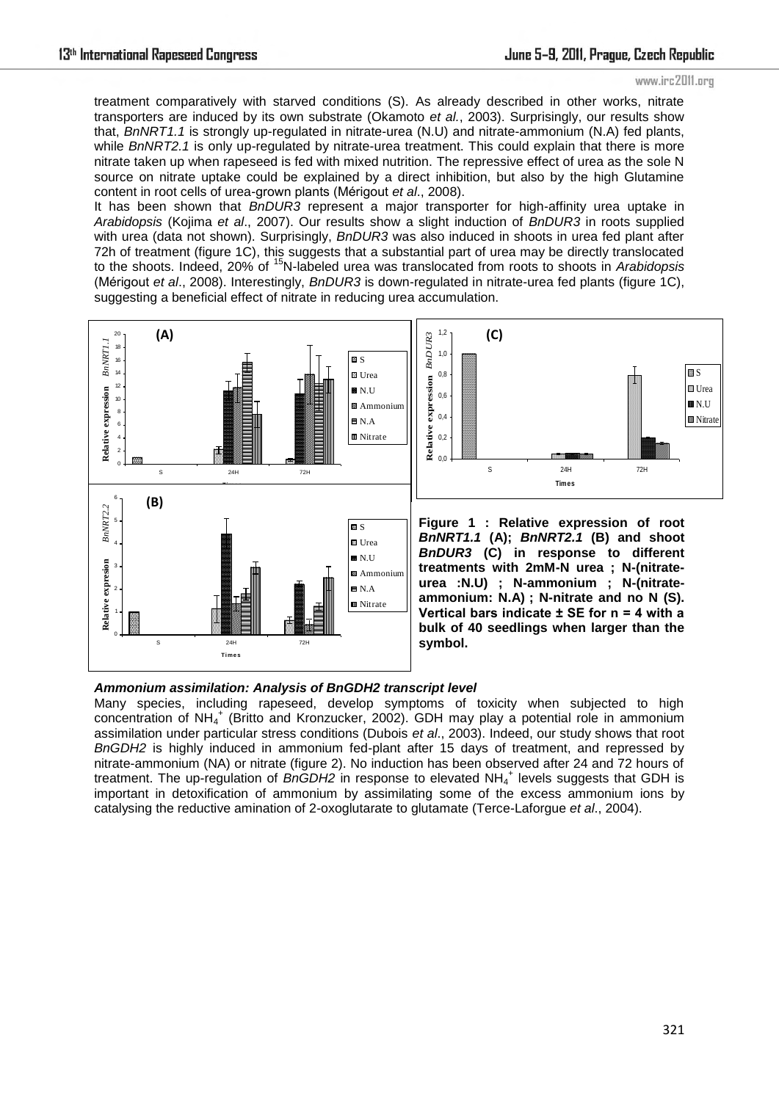treatment comparatively with starved conditions (S). As already described in other works, nitrate transporters are induced by its own substrate (Okamoto *et al.*, 2003). Surprisingly, our results show that, *BnNRT1.1* is strongly up-regulated in nitrate-urea (N.U) and nitrate-ammonium (N.A) fed plants, while *BnNRT2.1* is only up-regulated by nitrate-urea treatment. This could explain that there is more nitrate taken up when rapeseed is fed with mixed nutrition. The repressive effect of urea as the sole N source on nitrate uptake could be explained by a direct inhibition, but also by the high Glutamine content in root cells of urea-grown plants (Mérigout *et al*., 2008).

It has been shown that *BnDUR3* represent a major transporter for high-affinity urea uptake in *Arabidopsis* (Kojima *et al*., 2007). Our results show a slight induction of *BnDUR3* in roots supplied with urea (data not shown). Surprisingly, *BnDUR3* was also induced in shoots in urea fed plant after 72h of treatment (figure 1C), this suggests that a substantial part of urea may be directly translocated to the shoots. Indeed, 20% of <sup>15</sup>N-labeled urea was translocated from roots to shoots in *Arabidopsis* (Mérigout *et al*., 2008). Interestingly, *BnDUR3* is down-regulated in nitrate-urea fed plants (figure 1C), suggesting a beneficial effect of nitrate in reducing urea accumulation.



## *Ammonium assimilation: Analysis of BnGDH2 transcript level*

Many species, including rapeseed, develop symptoms of toxicity when subjected to high concentration of NH<sub>4</sub><sup>+</sup> (Britto and Kronzucker, 2002). GDH may play a potential role in ammonium assimilation under particular stress conditions (Dubois *et al*., 2003). Indeed, our study shows that root *BnGDH2* is highly induced in ammonium fed-plant after 15 days of treatment, and repressed by nitrate-ammonium (NA) or nitrate (figure 2). No induction has been observed after 24 and 72 hours of treatment. The up-regulation of BnGDH2 in response to elevated NH<sub>4</sub><sup>+</sup> levels suggests that GDH is important in detoxification of ammonium by assimilating some of the excess ammonium ions by catalysing the reductive amination of 2-oxoglutarate to glutamate (Terce-Laforgue *et al*., 2004).